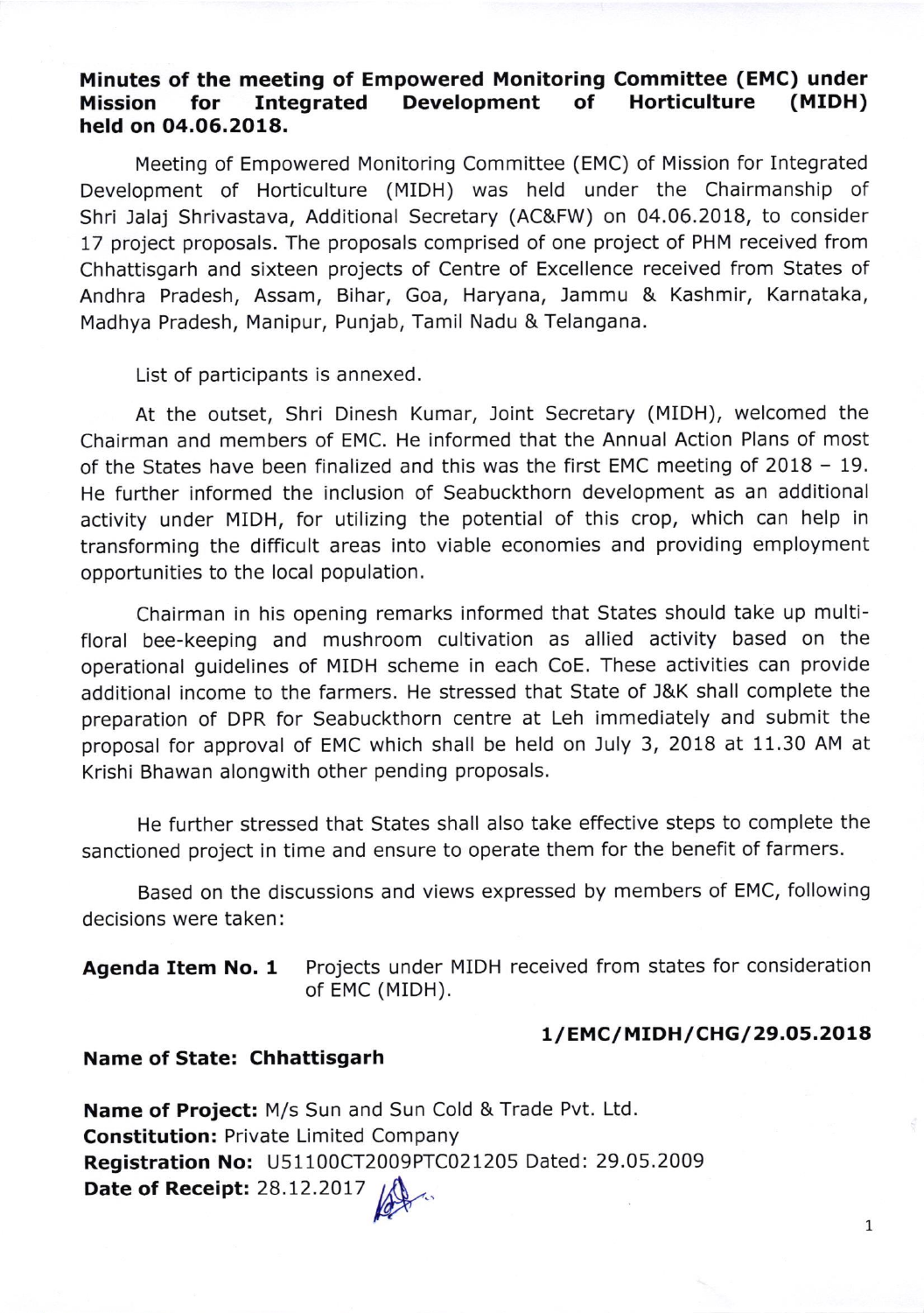# Minutes of the meeting of Empowered Monitoring Committee (EMC) under Mission for Integrated Development of Horticulture (MIDH) held on 04.06.2018.

Meeting of Empowered Monitoring Committee (EMC) of Mission for Integrated Development of Horticulture (MIDH) was held under the Chairmanship of Shri Jalaj Shrivastava, Additional Secretary (AC&FW) on 04.06.2018, to consider 17 project proposals. The proposals comprised of one project of PHM received from Chhattisgarh and sixteen projects of Centre of Excellence received from States of Andhra Pradesh, Assam, Bihar, Goa, Haryana, Jammu & Kashmir, Karnataka, Madhya Pradesh, Manipur, Punjab, Tamil Nadu & Telangana.

List of participants is annexed.

At the outset, Shri Dinesh Kumar, Joint Secretary (MIDH), welcomed the Chairman and members of EMC. He informed that the Annual Action Plans of most of the States have been finalized and this was the first EMC meeting of 2018 - 19. He further informed the inclusion of Seabuckthorn development as an additional activity under MIDH, for utilizing the potential of this crop, which can help in transforming the difficult areas into viable economies and providing employment opportunities to the local population.

Chairman in his opening remarks informed that States should take up multifloral bee-keeping and mushroom cultivation as allied activity based on the operational guidelines of MIDH scheme in each CoE. These activities can provide additional income to the farmers. He stressed that State of J&K shall complete the preparation of DPR for Seabuckthorn centre at Leh immediately and submit the proposal for approval of EMC which shall be held on July 3, 2018 at 11.30 AM at Krishi Bhawan alongwith other pending proposals.

He further stressed that States shall also take effective steps to complete the sanctioned project in time and ensure to operate them for the benefit of farmers.

Based on the discussions and views expressed by members of EMC, following decisions were taken:

# Agenda Item No. 1 Projects under MIDH received from states for consideration of EMC (MIDH).

### 1/EMC/MIDH/CHG/29.05.2018

#### Name of State: Chhattisgarh

Name of Project: M/s Sun and Sun Cold & Trade Pvt. Ltd. Constitution: Private Limited Company Registration No: U51100CT2009PTCO21205 Dated: 29.05.2009 Date of Receipt: 28.12.2017 Kat